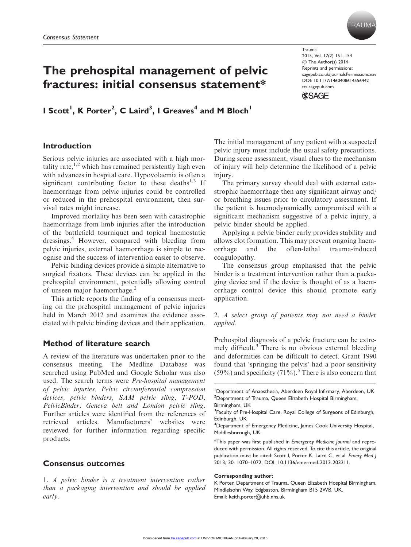

# The prehospital management of pelvic fractures: initial consensus statement\*

I Scott<sup>1</sup>, K Porter<sup>2</sup>, C Laird<sup>3</sup>, I Greaves<sup>4</sup> and M Bloch<sup>1</sup>

#### Trauma 2015, Vol. 17(2) 151–154 C The Author(s) 2014 Reprints and permissions: sagepub.co.uk/journalsPermissions.nav DOI: 10.1177/1460408614556442 tra.sagepub.com



# Introduction

Serious pelvic injuries are associated with a high mortality rate, $1,2$  which has remained persistently high even with advances in hospital care. Hypovolaemia is often a significant contributing factor to these deaths<sup>1,3</sup> If haemorrhage from pelvic injuries could be controlled or reduced in the prehospital environment, then survival rates might increase.

Improved mortality has been seen with catastrophic haemorrhage from limb injuries after the introduction of the battlefield tourniquet and topical haemostatic dressings.<sup>4</sup> However, compared with bleeding from pelvic injuries, external haemorrhage is simple to recognise and the success of intervention easier to observe.

Pelvic binding devices provide a simple alternative to surgical fixators. These devices can be applied in the prehospital environment, potentially allowing control of unseen major haemorrhage.<sup>2</sup>

This article reports the finding of a consensus meeting on the prehospital management of pelvic injuries held in March 2012 and examines the evidence associated with pelvic binding devices and their application.

# Method of literature search

A review of the literature was undertaken prior to the consensus meeting. The Medline Database was searched using PubMed and Google Scholar was also used. The search terms were Pre-hospital management of pelvic injuries, Pelvic circumferential compression devices, pelvic binders, SAM pelvic sling, T-POD, PelvicBinder, Geneva belt and London pelvic sling. Further articles were identified from the references of retrieved articles. Manufacturers' websites were reviewed for further information regarding specific products.

# Consensus outcomes

1. A pelvic binder is a treatment intervention rather than a packaging intervention and should be applied early.

The initial management of any patient with a suspected pelvic injury must include the usual safety precautions. During scene assessment, visual clues to the mechanism of injury will help determine the likelihood of a pelvic injury.

The primary survey should deal with external catastrophic haemorrhage then any significant airway and/ or breathing issues prior to circulatory assessment. If the patient is haemodynamically compromised with a significant mechanism suggestive of a pelvic injury, a pelvic binder should be applied.

Applying a pelvic binder early provides stability and allows clot formation. This may prevent ongoing haemorrhage and the often-lethal trauma-induced coagulopathy.

The consensus group emphasised that the pelvic binder is a treatment intervention rather than a packaging device and if the device is thought of as a haemorrhage control device this should promote early application.

# 2. A select group of patients may not need a binder applied.

Prehospital diagnosis of a pelvic fracture can be extremely difficult.<sup>3</sup> There is no obvious external bleeding and deformities can be difficult to detect. Grant 1990 found that 'springing the pelvis' had a poor sensitivity  $(59\%)$  and specificity  $(71\%)$ .<sup>5</sup> There is also concern that

#### Corresponding author:

<sup>&</sup>lt;sup>1</sup>Department of Anaesthesia, Aberdeen Royal Infirmary, Aberdeen, UK <sup>2</sup>Department of Trauma, Queen Elizabeth Hospital Birmingham, Birmingham, UK

<sup>&</sup>lt;sup>3</sup>Faculty of Pre-Hospital Care, Royal College of Surgeons of Edinburgh, Edinburgh, UK

<sup>4</sup> Department of Emergency Medicine, James Cook University Hospital, Middlesborough, UK

<sup>\*</sup>This paper was first published in Emergency Medicine Journal and reproduced with permission. All rights reserved. To cite this article, the original publication must be cited: Scott I, Porter K, Laird C, et al. Emerg Med J 2013; 30: 1070–1072, DOI: 10.1136/emermed-2013-203211.

K Porter, Department of Trauma, Queen Elizabeth Hospital Birmingham, Mindlelsohn Way, Edgbaston, Birmingham B15 2WB, UK. Email: keith.porter@uhb.nhs.uk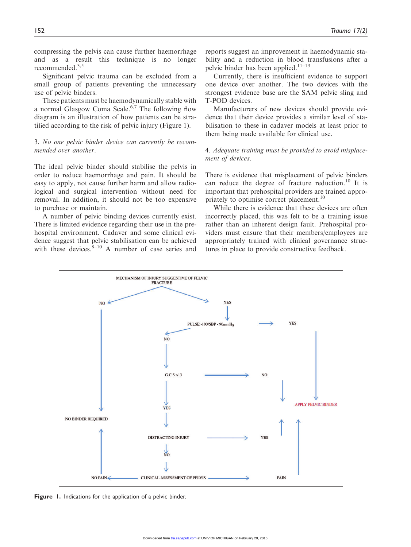compressing the pelvis can cause further haemorrhage and as a result this technique is no longer recommended.3,5

Significant pelvic trauma can be excluded from a small group of patients preventing the unnecessary use of pelvic binders.

These patients must be haemodynamically stable with a normal Glasgow Coma Scale.<sup>6,7</sup> The following flow diagram is an illustration of how patients can be stratified according to the risk of pelvic injury (Figure 1).

## 3. No one pelvic binder device can currently be recommended over another.

The ideal pelvic binder should stabilise the pelvis in order to reduce haemorrhage and pain. It should be easy to apply, not cause further harm and allow radiological and surgical intervention without need for removal. In addition, it should not be too expensive to purchase or maintain.

A number of pelvic binding devices currently exist. There is limited evidence regarding their use in the prehospital environment. Cadaver and some clinical evidence suggest that pelvic stabilisation can be achieved with these devices. ${}^{8-10}$  A number of case series and reports suggest an improvement in haemodynamic stability and a reduction in blood transfusions after a pelvic binder has been applied. $11-13$ 

Currently, there is insufficient evidence to support one device over another. The two devices with the strongest evidence base are the SAM pelvic sling and T-POD devices.

Manufacturers of new devices should provide evidence that their device provides a similar level of stabilisation to these in cadaver models at least prior to them being made available for clinical use.

## 4. Adequate training must be provided to avoid misplacement of devices.

There is evidence that misplacement of pelvic binders can reduce the degree of fracture reduction.<sup>10</sup> It is important that prehospital providers are trained appropriately to optimise correct placement.<sup>10</sup>

While there is evidence that these devices are often incorrectly placed, this was felt to be a training issue rather than an inherent design fault. Prehospital providers must ensure that their members/employees are appropriately trained with clinical governance structures in place to provide constructive feedback.



Figure 1. Indications for the application of a pelvic binder.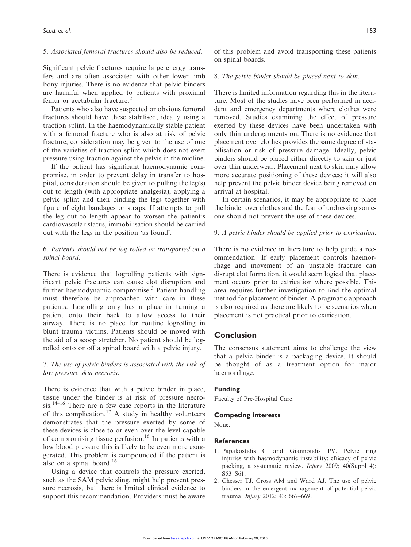### 5. Associated femoral fractures should also be reduced.

Significant pelvic fractures require large energy transfers and are often associated with other lower limb bony injuries. There is no evidence that pelvic binders are harmful when applied to patients with proximal femur or acetabular fracture.<sup>2</sup>

Patients who also have suspected or obvious femoral fractures should have these stabilised, ideally using a traction splint. In the haemodynamically stable patient with a femoral fracture who is also at risk of pelvic fracture, consideration may be given to the use of one of the varieties of traction splint which does not exert pressure using traction against the pelvis in the midline.

If the patient has significant haemodynamic compromise, in order to prevent delay in transfer to hospital, consideration should be given to pulling the leg(s) out to length (with appropriate analgesia), applying a pelvic splint and then binding the legs together with Egure of eight bandages or straps. If attempts to pull the leg out to length appear to worsen the patient's cardiovascular status, immobilisation should be carried out with the legs in the position 'as found'.

## 6. Patients should not be log rolled or transported on a spinal board.

There is evidence that logrolling patients with significant pelvic fractures can cause clot disruption and further haemodynamic compromise.<sup>3</sup> Patient handling must therefore be approached with care in these patients. Logrolling only has a place in turning a patient onto their back to allow access to their airway. There is no place for routine logrolling in blunt trauma victims. Patients should be moved with the aid of a scoop stretcher. No patient should be logrolled onto or off a spinal board with a pelvic injury.

## 7. The use of pelvic binders is associated with the risk of low pressure skin necrosis.

There is evidence that with a pelvic binder in place, tissue under the binder is at risk of pressure necro $sis.<sup>14–16</sup>$  There are a few case reports in the literature of this complication.<sup>17</sup> A study in healthy volunteers demonstrates that the pressure exerted by some of these devices is close to or even over the level capable of compromising tissue perfusion.<sup>16</sup> In patients with a low blood pressure this is likely to be even more exaggerated. This problem is compounded if the patient is also on a spinal board. $16$ 

Using a device that controls the pressure exerted, such as the SAM pelvic sling, might help prevent pressure necrosis, but there is limited clinical evidence to support this recommendation. Providers must be aware of this problem and avoid transporting these patients on spinal boards.

### 8. The pelvic binder should be placed next to skin.

There is limited information regarding this in the literature. Most of the studies have been performed in accident and emergency departments where clothes were removed. Studies examining the effect of pressure exerted by these devices have been undertaken with only thin undergarments on. There is no evidence that placement over clothes provides the same degree of stabilisation or risk of pressure damage. Ideally, pelvic binders should be placed either directly to skin or just over thin underwear. Placement next to skin may allow more accurate positioning of these devices; it will also help prevent the pelvic binder device being removed on arrival at hospital.

In certain scenarios, it may be appropriate to place the binder over clothes and the fear of undressing someone should not prevent the use of these devices.

#### 9. A pelvic binder should be applied prior to extrication.

There is no evidence in literature to help guide a recommendation. If early placement controls haemorrhage and movement of an unstable fracture can disrupt clot formation, it would seem logical that placement occurs prior to extrication where possible. This area requires further investigation to find the optimal method for placement of binder. A pragmatic approach is also required as there are likely to be scenarios when placement is not practical prior to extrication.

## Conclusion

The consensus statement aims to challenge the view that a pelvic binder is a packaging device. It should be thought of as a treatment option for major haemorrhage.

#### Funding

Faculty of Pre-Hospital Care.

#### Competing interests

None.

#### References

- 1. Papakostidis C and Giannoudis PV. Pelvic ring injuries with haemodynamic instability: efficacy of pelvic packing, a systematic review. Injury 2009; 40(Suppl 4): S53–S61.
- 2. Chesser TJ, Cross AM and Ward AJ. The use of pelvic binders in the emergent management of potential pelvic trauma. Injury 2012; 43: 667–669.